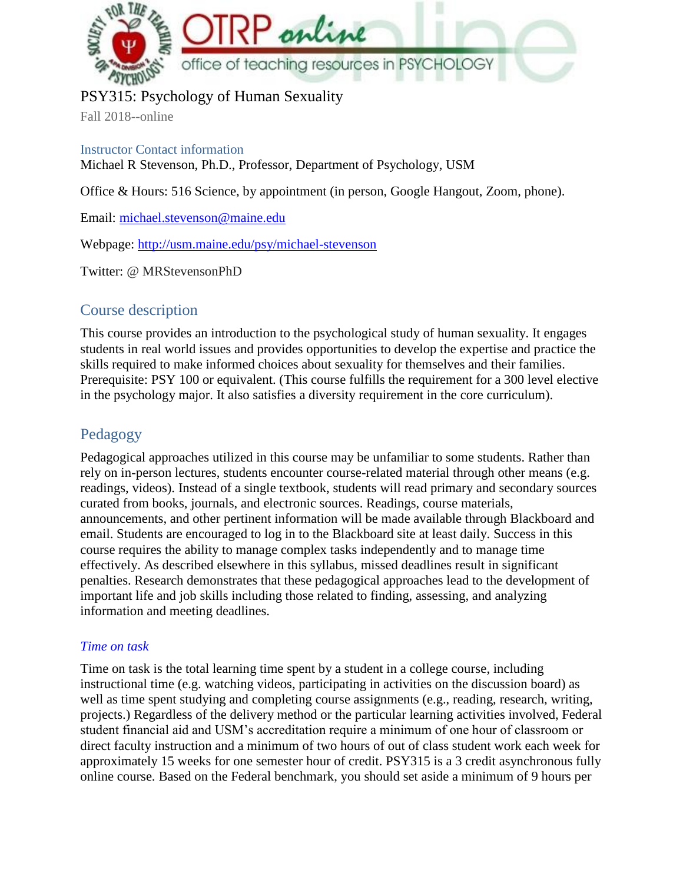

# PSY315: Psychology of Human Sexuality

Fall 2018--online

Instructor Contact information Michael R Stevenson, Ph.D., Professor, Department of Psychology, USM

Office & Hours: 516 Science, by appointment (in person, Google Hangout, Zoom, phone).

Email: [michael.stevenson@maine.edu](mailto:michael.stevenson@maine.edu)

Webpage[:](http://usm.maine.edu/psy/michael-stevenson) <http://usm.maine.edu/psy/michael-stevenson>

Twitter: @ MRStevensonPhD

# Course description

This course provides an introduction to the psychological study of human sexuality. It engages students in real world issues and provides opportunities to develop the expertise and practice the skills required to make informed choices about sexuality for themselves and their families. Prerequisite: PSY 100 or equivalent. (This course fulfills the requirement for a 300 level elective in the psychology major. It also satisfies a diversity requirement in the core curriculum).

# Pedagogy

Pedagogical approaches utilized in this course may be unfamiliar to some students. Rather than rely on in-person lectures, students encounter course-related material through other means (e.g. readings, videos). Instead of a single textbook, students will read primary and secondary sources curated from books, journals, and electronic sources. Readings, course materials, announcements, and other pertinent information will be made available through Blackboard and email. Students are encouraged to log in to the Blackboard site at least daily. Success in this course requires the ability to manage complex tasks independently and to manage time effectively. As described elsewhere in this syllabus, missed deadlines result in significant penalties. Research demonstrates that these pedagogical approaches lead to the development of important life and job skills including those related to finding, assessing, and analyzing information and meeting deadlines.

### *Time on task*

Time on task is the total learning time spent by a student in a college course, including instructional time (e.g. watching videos, participating in activities on the discussion board) as well as time spent studying and completing course assignments (e.g., reading, research, writing, projects.) Regardless of the delivery method or the particular learning activities involved, Federal student financial aid and USM's accreditation require a minimum of one hour of classroom or direct faculty instruction and a minimum of two hours of out of class student work each week for approximately 15 weeks for one semester hour of credit. PSY315 is a 3 credit asynchronous fully online course. Based on the Federal benchmark, you should set aside a minimum of 9 hours per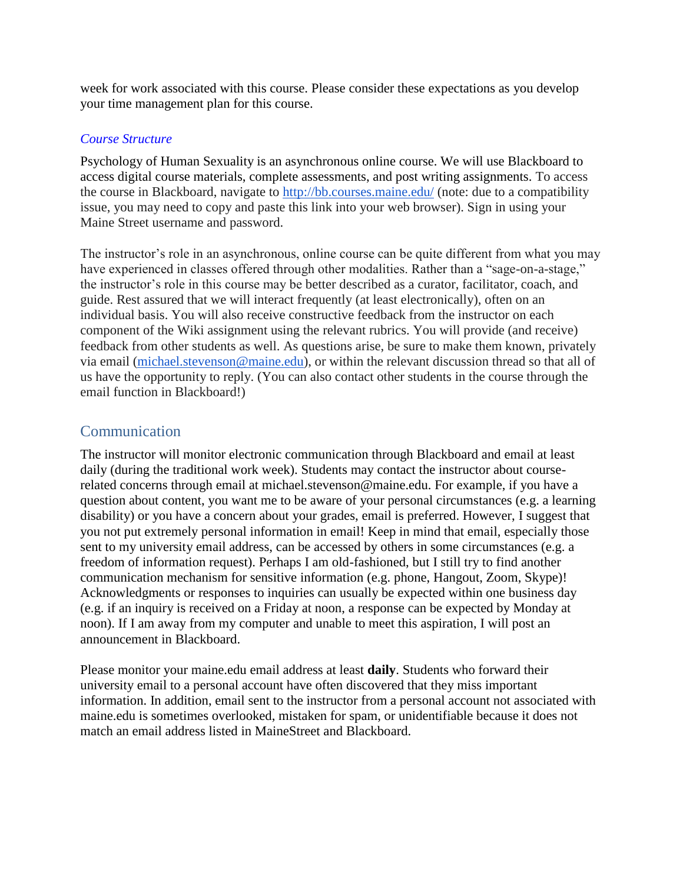week for work associated with this course. Please consider these expectations as you develop your time management plan for this course.

### *Course Structure*

Psychology of Human Sexuality is an asynchronous online course. We will use Blackboard to access digital course materials, complete assessments, and post writing assignments. To access the course in Blackboard, navigate to<http://bb.courses.maine.edu/> (note: due to a compatibility issue, you may need to copy and paste this link into your web browser). Sign in using your Maine Street username and password.

The instructor's role in an asynchronous, online course can be quite different from what you may have experienced in classes offered through other modalities. Rather than a "sage-on-a-stage," the instructor's role in this course may be better described as a curator, facilitator, coach, and guide. Rest assured that we will interact frequently (at least electronically), often on an individual basis. You will also receive constructive feedback from the instructor on each component of the Wiki assignment using the relevant rubrics. You will provide (and receive) feedback from other students as well. As questions arise, be sure to make them known, privately via email [\(michael.stevenson@maine.edu\)](mailto:michael.stevenson@maine.edu), or within the relevant discussion thread so that all of us have the opportunity to reply. (You can also contact other students in the course through the email function in Blackboard!)

# Communication

The instructor will monitor electronic communication through Blackboard and email at least daily (during the traditional work week). Students may contact the instructor about courserelated concerns through email at michael.stevenson@maine.edu. For example, if you have a question about content, you want me to be aware of your personal circumstances (e.g. a learning disability) or you have a concern about your grades, email is preferred. However, I suggest that you not put extremely personal information in email! Keep in mind that email, especially those sent to my university email address, can be accessed by others in some circumstances (e.g. a freedom of information request). Perhaps I am old-fashioned, but I still try to find another communication mechanism for sensitive information (e.g. phone, Hangout, Zoom, Skype)! Acknowledgments or responses to inquiries can usually be expected within one business day (e.g. if an inquiry is received on a Friday at noon, a response can be expected by Monday at noon). If I am away from my computer and unable to meet this aspiration, I will post an announcement in Blackboard.

Please monitor your maine.edu email address at least **daily**. Students who forward their university email to a personal account have often discovered that they miss important information. In addition, email sent to the instructor from a personal account not associated with maine.edu is sometimes overlooked, mistaken for spam, or unidentifiable because it does not match an email address listed in MaineStreet and Blackboard.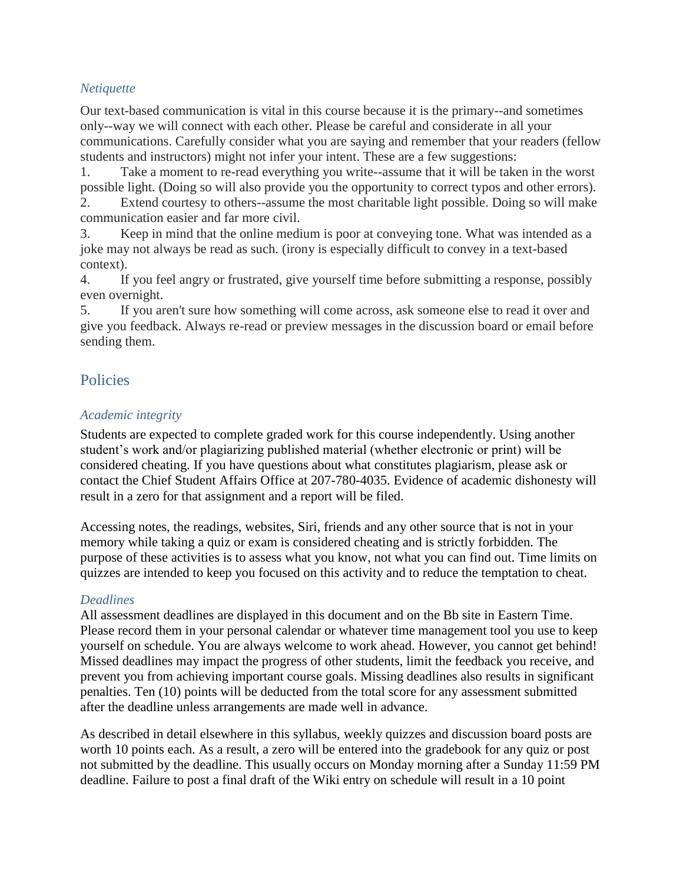### *Netiquette*

Our text-based communication is vital in this course because it is the primary--and sometimes only--way we will connect with each other. Please be careful and considerate in all your communications. Carefully consider what you are saying and remember that your readers (fellow students and instructors) might not infer your intent. These are a few suggestions:

1. Take a moment to re-read everything you write--assume that it will be taken in the worst possible light. (Doing so will also provide you the opportunity to correct typos and other errors).

2. Extend courtesy to others--assume the most charitable light possible. Doing so will make communication easier and far more civil.

3. Keep in mind that the online medium is poor at conveying tone. What was intended as a joke may not always be read as such. (irony is especially difficult to convey in a text-based context).

4. If you feel angry or frustrated, give yourself time before submitting a response, possibly even overnight.

5. If you aren't sure how something will come across, ask someone else to read it over and give you feedback. Always re-read or preview messages in the discussion board or email before sending them.

# **Policies**

### *Academic integrity*

Students are expected to complete graded work for this course independently. Using another student's work and/or plagiarizing published material (whether electronic or print) will be considered cheating. If you have questions about what constitutes plagiarism, please ask or contact the Chief Student Affairs Office at 207-780-4035. Evidence of academic dishonesty will result in a zero for that assignment and a report will be filed.

Accessing notes, the readings, websites, Siri, friends and any other source that is not in your memory while taking a quiz or exam is considered cheating and is strictly forbidden. The purpose of these activities is to assess what you know, not what you can find out. Time limits on quizzes are intended to keep you focused on this activity and to reduce the temptation to cheat.

### *Deadlines*

All assessment deadlines are displayed in this document and on the Bb site in Eastern Time. Please record them in your personal calendar or whatever time management tool you use to keep yourself on schedule. You are always welcome to work ahead. However, you cannot get behind! Missed deadlines may impact the progress of other students, limit the feedback you receive, and prevent you from achieving important course goals. Missing deadlines also results in significant penalties. Ten (10) points will be deducted from the total score for any assessment submitted after the deadline unless arrangements are made well in advance.

As described in detail elsewhere in this syllabus, weekly quizzes and discussion board posts are worth 10 points each. As a result, a zero will be entered into the gradebook for any quiz or post not submitted by the deadline. This usually occurs on Monday morning after a Sunday 11:59 PM deadline. Failure to post a final draft of the Wiki entry on schedule will result in a 10 point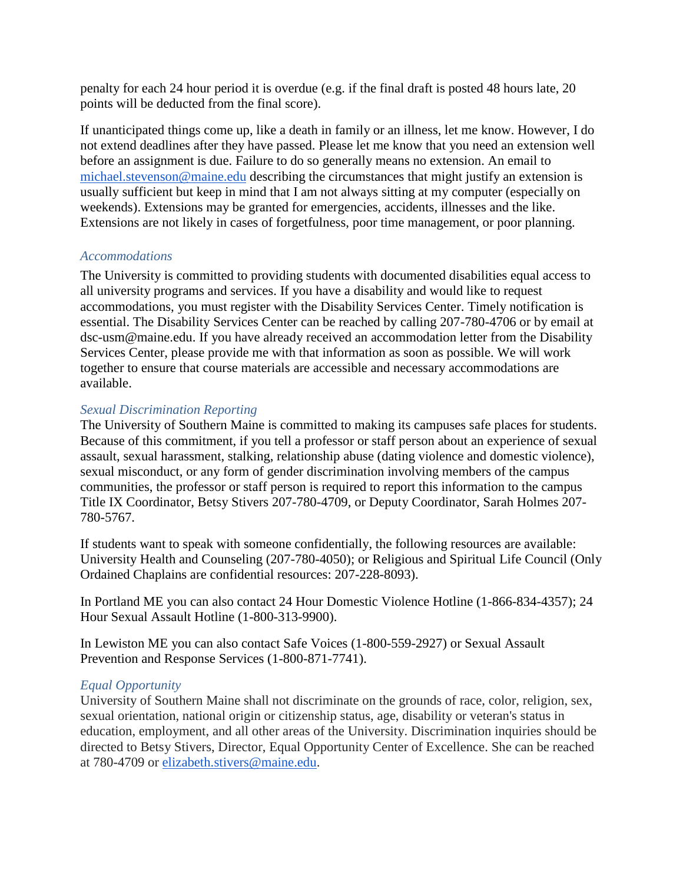penalty for each 24 hour period it is overdue (e.g. if the final draft is posted 48 hours late, 20 points will be deducted from the final score).

If unanticipated things come up, like a death in family or an illness, let me know. However, I do not extend deadlines after they have passed. Please let me know that you need an extension well before an assignment is due. Failure to do so generally means no extension. An email to [michael.stevenson@maine.edu](mailto:michael.stevenson@maine.edu) describing the circumstances that might justify an extension is usually sufficient but keep in mind that I am not always sitting at my computer (especially on weekends). Extensions may be granted for emergencies, accidents, illnesses and the like. Extensions are not likely in cases of forgetfulness, poor time management, or poor planning.

#### *Accommodations*

The University is committed to providing students with documented disabilities equal access to all university programs and services. If you have a disability and would like to request accommodations, you must register with the Disability Services Center. Timely notification is essential. The Disability Services Center can be reached by calling 207-780-4706 or by email at dsc-usm@maine.edu. If you have already received an accommodation letter from the Disability Services Center, please provide me with that information as soon as possible. We will work together to ensure that course materials are accessible and necessary accommodations are available.

#### *Sexual Discrimination Reporting*

The University of Southern Maine is committed to making its campuses safe places for students. Because of this commitment, if you tell a professor or staff person about an experience of sexual assault, sexual harassment, stalking, relationship abuse (dating violence and domestic violence), sexual misconduct, or any form of gender discrimination involving members of the campus communities, the professor or staff person is required to report this information to the campus Title IX Coordinator, Betsy Stivers 207-780-4709, or Deputy Coordinator, Sarah Holmes 207- 780-5767.

If students want to speak with someone confidentially, the following resources are available: University Health and Counseling (207-780-4050); or Religious and Spiritual Life Council (Only Ordained Chaplains are confidential resources: 207-228-8093).

In Portland ME you can also contact 24 Hour Domestic Violence Hotline (1-866-834-4357); 24 Hour Sexual Assault Hotline (1-800-313-9900).

In Lewiston ME you can also contact Safe Voices (1-800-559-2927) or Sexual Assault Prevention and Response Services (1-800-871-7741).

#### *Equal Opportunity*

University of Southern Maine shall not discriminate on the grounds of race, color, religion, sex, sexual orientation, national origin or citizenship status, age, disability or veteran's status in education, employment, and all other areas of the University. Discrimination inquiries should be directed to Betsy Stivers, Director, Equal Opportunity Center of Excellence. She can be reached at 780-4709 or [elizabeth.stivers@maine.edu.](mailto:elizabeth.stivers@maine.edu)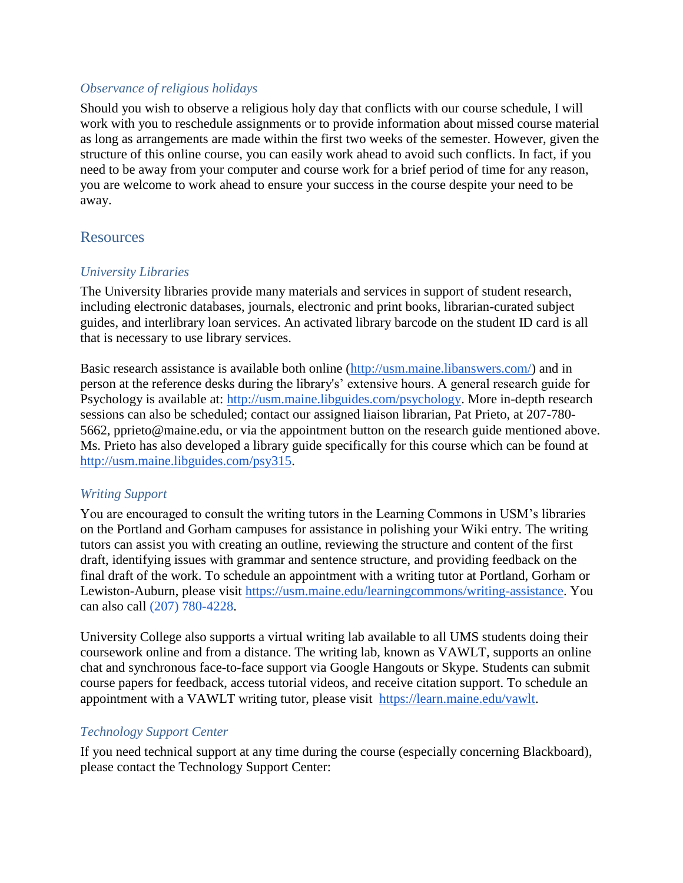### *Observance of religious holidays*

Should you wish to observe a religious holy day that conflicts with our course schedule, I will work with you to reschedule assignments or to provide information about missed course material as long as arrangements are made within the first two weeks of the semester. However, given the structure of this online course, you can easily work ahead to avoid such conflicts. In fact, if you need to be away from your computer and course work for a brief period of time for any reason, you are welcome to work ahead to ensure your success in the course despite your need to be away.

### **Resources**

### *University Libraries*

The University libraries provide many materials and services in support of student research, including electronic databases, journals, electronic and print books, librarian-curated subject guides, and interlibrary loan services. An activated library barcode on the student ID card is all that is necessary to use library services.

Basic research assistance is available both online [\(http://usm.maine.libanswers.com/\)](http://usm.maine.libanswers.com/) and in person at the reference desks during the library's' extensive hours. A general research guide for Psychology is available at: [http://usm.maine.libguides.com/psychology.](http://usm.maine.libguides.com/psychology) More in-depth research sessions can also be scheduled; contact our assigned liaison librarian, Pat Prieto, at 207-780- 5662, pprieto@maine.edu, or via the appointment button on the research guide mentioned above. Ms. Prieto has also developed a library guide specifically for this course which can be found at [http://usm.maine.libguides.com/psy315.](http://usm.maine.libguides.com/psy315)

### *Writing Support*

You are encouraged to consult the writing tutors in the Learning Commons in USM's libraries on the Portland and Gorham campuses for assistance in polishing your Wiki entry. The writing tutors can assist you with creating an outline, reviewing the structure and content of the first draft, identifying issues with grammar and sentence structure, and providing feedback on the final draft of the work. To schedule an appointment with a writing tutor at Portland, Gorham or Lewiston-Auburn, please visit [https://usm.maine.edu/learningcommons/writing-assistance.](https://usm.maine.edu/learningcommons/writing-assistance) You can also call (207) 780-4228.

University College also supports a virtual writing lab available to all UMS students doing their coursework online and from a distance. The writing lab, known as VAWLT, supports an online chat and synchronous face-to-face support via Google Hangouts or Skype. Students can submit course papers for feedback, access tutorial videos, and receive citation support. To schedule an appointment with a VAWLT writing tutor, please visit [https://learn.maine.edu/vawlt.](https://learn.maine.edu/vawlt)

### *Technology Support Center*

If you need technical support at any time during the course (especially concerning Blackboard), please contact the Technology Support Center: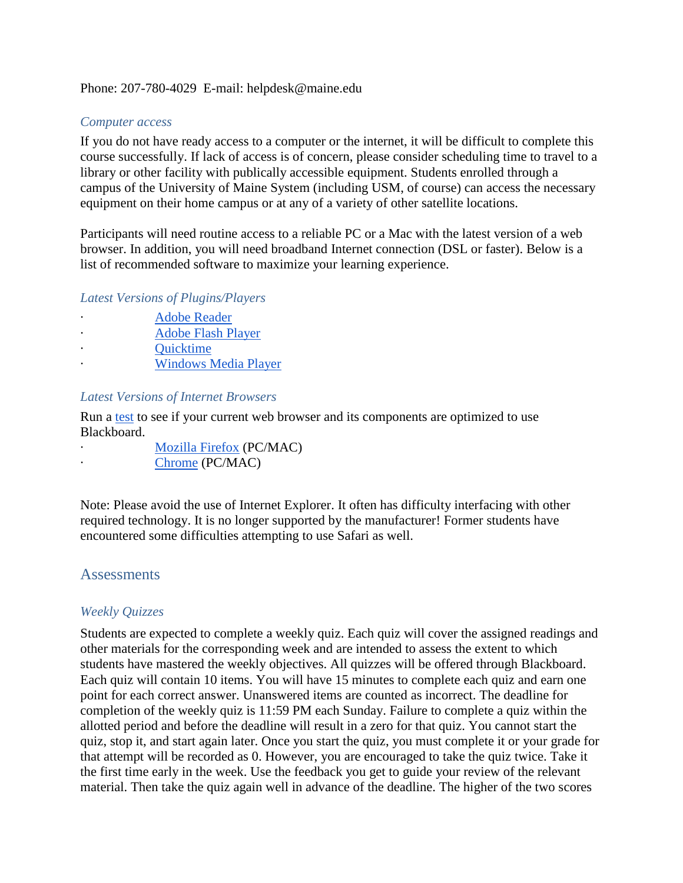#### Phone: 207-780-4029 E-mail: helpdesk@maine.edu

#### *Computer access*

If you do not have ready access to a computer or the internet, it will be difficult to complete this course successfully. If lack of access is of concern, please consider scheduling time to travel to a library or other facility with publically accessible equipment. Students enrolled through a campus of the University of Maine System (including USM, of course) can access the necessary equipment on their home campus or at any of a variety of other satellite locations.

Participants will need routine access to a reliable PC or a Mac with the latest version of a web browser. In addition, you will need broadband Internet connection (DSL or faster). Below is a list of recommended software to maximize your learning experience.

#### *Latest Versions of Plugins/Players*

[Adobe Reader](http://get.adobe.com/reader/) · [Adobe Flash Player](http://helpx.adobe.com/flash-player.html) **Ouicktime** · [Windows Media Player](http://www.microsoft.com/windowsmedia)

#### *Latest Versions of Internet Browsers*

Run a [test](https://www.courses.maine.edu/webapps/portal/frameset.jsp?tab_tab_group_id=_18_1) to see if your current web browser and its components are optimized to use Blackboard.

| <b>Mozilla Firefox (PC/MAC)</b> |
|---------------------------------|
| Chrome (PC/MAC)                 |

Note: Please avoid the use of Internet Explorer. It often has difficulty interfacing with other required technology. It is no longer supported by the manufacturer! Former students have encountered some difficulties attempting to use Safari as well.

### **Assessments**

#### *Weekly Quizzes*

Students are expected to complete a weekly quiz. Each quiz will cover the assigned readings and other materials for the corresponding week and are intended to assess the extent to which students have mastered the weekly objectives. All quizzes will be offered through Blackboard. Each quiz will contain 10 items. You will have 15 minutes to complete each quiz and earn one point for each correct answer. Unanswered items are counted as incorrect. The deadline for completion of the weekly quiz is 11:59 PM each Sunday. Failure to complete a quiz within the allotted period and before the deadline will result in a zero for that quiz. You cannot start the quiz, stop it, and start again later. Once you start the quiz, you must complete it or your grade for that attempt will be recorded as 0. However, you are encouraged to take the quiz twice. Take it the first time early in the week. Use the feedback you get to guide your review of the relevant material. Then take the quiz again well in advance of the deadline. The higher of the two scores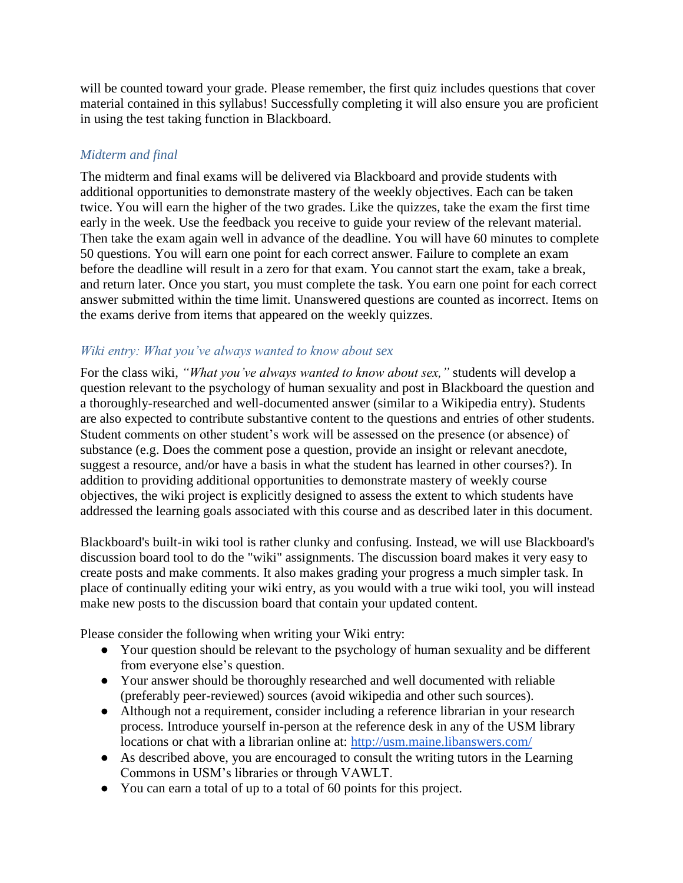will be counted toward your grade. Please remember, the first quiz includes questions that cover material contained in this syllabus! Successfully completing it will also ensure you are proficient in using the test taking function in Blackboard.

### *Midterm and final*

The midterm and final exams will be delivered via Blackboard and provide students with additional opportunities to demonstrate mastery of the weekly objectives. Each can be taken twice. You will earn the higher of the two grades. Like the quizzes, take the exam the first time early in the week. Use the feedback you receive to guide your review of the relevant material. Then take the exam again well in advance of the deadline. You will have 60 minutes to complete 50 questions. You will earn one point for each correct answer. Failure to complete an exam before the deadline will result in a zero for that exam. You cannot start the exam, take a break, and return later. Once you start, you must complete the task. You earn one point for each correct answer submitted within the time limit. Unanswered questions are counted as incorrect. Items on the exams derive from items that appeared on the weekly quizzes.

#### *Wiki entry: What you've always wanted to know about sex*

For the class wiki, *"What you've always wanted to know about sex,"* students will develop a question relevant to the psychology of human sexuality and post in Blackboard the question and a thoroughly-researched and well-documented answer (similar to a Wikipedia entry). Students are also expected to contribute substantive content to the questions and entries of other students. Student comments on other student's work will be assessed on the presence (or absence) of substance (e.g. Does the comment pose a question, provide an insight or relevant anecdote, suggest a resource, and/or have a basis in what the student has learned in other courses?). In addition to providing additional opportunities to demonstrate mastery of weekly course objectives, the wiki project is explicitly designed to assess the extent to which students have addressed the learning goals associated with this course and as described later in this document.

Blackboard's built-in wiki tool is rather clunky and confusing. Instead, we will use Blackboard's discussion board tool to do the "wiki" assignments. The discussion board makes it very easy to create posts and make comments. It also makes grading your progress a much simpler task. In place of continually editing your wiki entry, as you would with a true wiki tool, you will instead make new posts to the discussion board that contain your updated content.

Please consider the following when writing your Wiki entry:

- Your question should be relevant to the psychology of human sexuality and be different from everyone else's question.
- Your answer should be thoroughly researched and well documented with reliable (preferably peer-reviewed) sources (avoid wikipedia and other such sources).
- Although not a requirement, consider including a reference librarian in your research process. Introduce yourself in-person at the reference desk in any of the USM library locations or chat with a librarian online at[:](http://usm.maine.libanswers.com/) <http://usm.maine.libanswers.com/>
- As described above, you are encouraged to consult the writing tutors in the Learning Commons in USM's libraries or through VAWLT.
- You can earn a total of up to a total of 60 points for this project.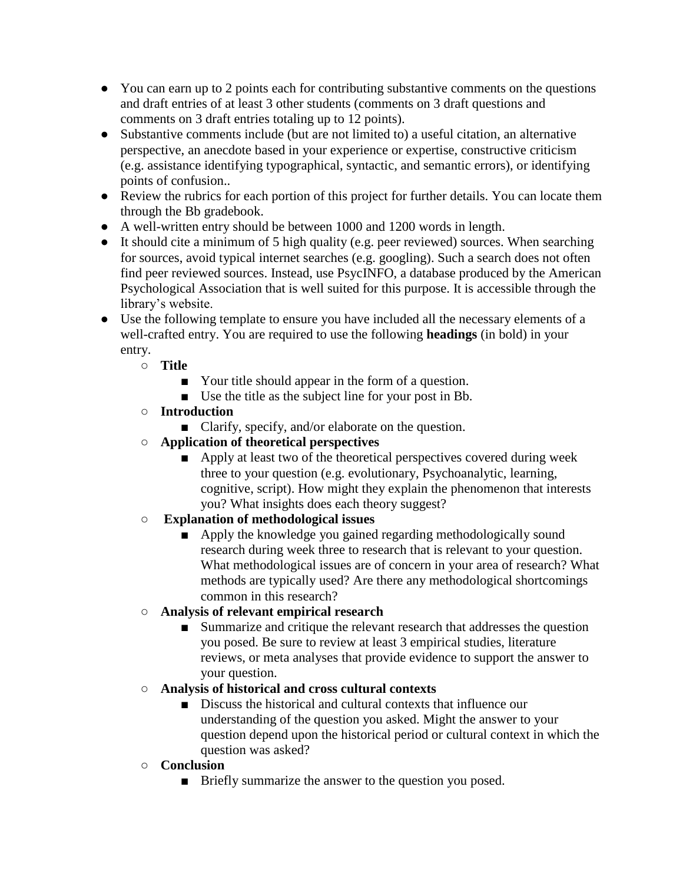- You can earn up to 2 points each for contributing substantive comments on the questions and draft entries of at least 3 other students (comments on 3 draft questions and comments on 3 draft entries totaling up to 12 points).
- Substantive comments include (but are not limited to) a useful citation, an alternative perspective, an anecdote based in your experience or expertise, constructive criticism (e.g. assistance identifying typographical, syntactic, and semantic errors), or identifying points of confusion..
- Review the rubrics for each portion of this project for further details. You can locate them through the Bb gradebook.
- A well-written entry should be between 1000 and 1200 words in length.
- It should cite a minimum of 5 high quality (e.g. peer reviewed) sources. When searching for sources, avoid typical internet searches (e.g. googling). Such a search does not often find peer reviewed sources. Instead, use PsycINFO, a database produced by the American Psychological Association that is well suited for this purpose. It is accessible through the library's website.
- Use the following template to ensure you have included all the necessary elements of a well-crafted entry. You are required to use the following **headings** (in bold) in your entry.
	- **Title**
		- Your title should appear in the form of a question.
		- Use the title as the subject line for your post in Bb.
	- **Introduction**
		- Clarify, specify, and/or elaborate on the question.
	- **Application of theoretical perspectives**
		- Apply at least two of the theoretical perspectives covered during week three to your question (e.g. evolutionary, Psychoanalytic, learning, cognitive, script). How might they explain the phenomenon that interests you? What insights does each theory suggest?
	- **Explanation of methodological issues**
		- Apply the knowledge you gained regarding methodologically sound research during week three to research that is relevant to your question. What methodological issues are of concern in your area of research? What methods are typically used? Are there any methodological shortcomings common in this research?
	- **Analysis of relevant empirical research**
		- Summarize and critique the relevant research that addresses the question you posed. Be sure to review at least 3 empirical studies, literature reviews, or meta analyses that provide evidence to support the answer to your question.
	- **Analysis of historical and cross cultural contexts**
		- Discuss the historical and cultural contexts that influence our understanding of the question you asked. Might the answer to your question depend upon the historical period or cultural context in which the question was asked?
	- **Conclusion**
		- Briefly summarize the answer to the question you posed.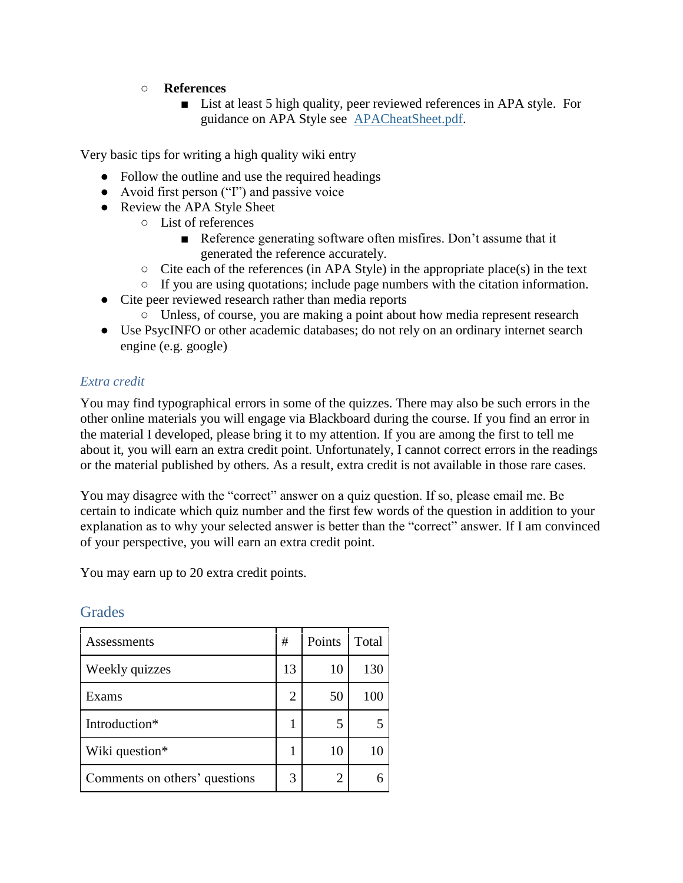### ○ **References**

■ List at least 5 high quality, peer reviewed references in APA style. For guidance on APA Style see [APACheatSheet.pdf.](https://bb.courses.maine.edu/bbcswebdav/pid-3780592-dt-content-rid-8716082_2/xid-8716082_2)

Very basic tips for writing a high quality wiki entry

- Follow the outline and use the required headings
- Avoid first person ("I") and passive voice
- Review the APA Style Sheet
	- List of references
		- Reference generating software often misfires. Don't assume that it generated the reference accurately.
	- $\circ$  Cite each of the references (in APA Style) in the appropriate place(s) in the text
	- If you are using quotations; include page numbers with the citation information.
- Cite peer reviewed research rather than media reports
	- Unless, of course, you are making a point about how media represent research
- Use PsycINFO or other academic databases; do not rely on an ordinary internet search engine (e.g. google)

### *Extra credit*

You may find typographical errors in some of the quizzes. There may also be such errors in the other online materials you will engage via Blackboard during the course. If you find an error in the material I developed, please bring it to my attention. If you are among the first to tell me about it, you will earn an extra credit point. Unfortunately, I cannot correct errors in the readings or the material published by others. As a result, extra credit is not available in those rare cases.

You may disagree with the "correct" answer on a quiz question. If so, please email me. Be certain to indicate which quiz number and the first few words of the question in addition to your explanation as to why your selected answer is better than the "correct" answer. If I am convinced of your perspective, you will earn an extra credit point.

You may earn up to 20 extra credit points.

| Assessments                   | #  | Points | Total |
|-------------------------------|----|--------|-------|
| Weekly quizzes                | 13 | 10     | 130   |
| Exams                         | 2  | 50     | 100   |
| Introduction*                 |    | 5      |       |
| Wiki question*                |    | 10     |       |
| Comments on others' questions | 3  |        |       |

# **Grades**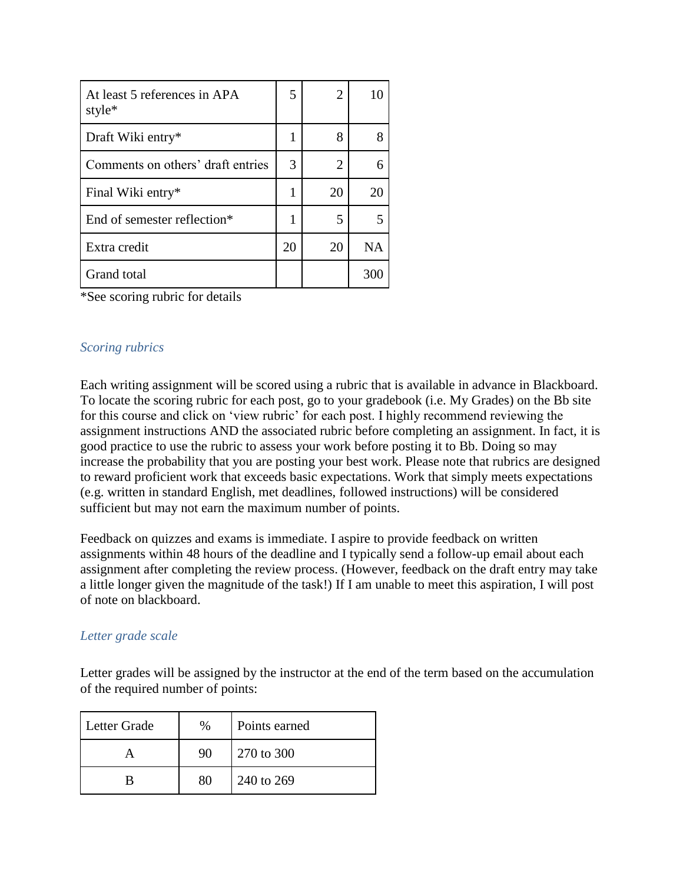| At least 5 references in APA<br>style* | 5  | 2  | 10        |
|----------------------------------------|----|----|-----------|
| Draft Wiki entry*                      |    | 8  | 8         |
| Comments on others' draft entries      | 3  | 2  |           |
| Final Wiki entry*                      |    | 20 | 20        |
| End of semester reflection*            |    | 5  |           |
| Extra credit                           | 20 | 20 | <b>NA</b> |
| Grand total                            |    |    | 30        |

\*See scoring rubric for details

### *Scoring rubrics*

Each writing assignment will be scored using a rubric that is available in advance in Blackboard. To locate the scoring rubric for each post, go to your gradebook (i.e. My Grades) on the Bb site for this course and click on 'view rubric' for each post. I highly recommend reviewing the assignment instructions AND the associated rubric before completing an assignment. In fact, it is good practice to use the rubric to assess your work before posting it to Bb. Doing so may increase the probability that you are posting your best work. Please note that rubrics are designed to reward proficient work that exceeds basic expectations. Work that simply meets expectations (e.g. written in standard English, met deadlines, followed instructions) will be considered sufficient but may not earn the maximum number of points.

Feedback on quizzes and exams is immediate. I aspire to provide feedback on written assignments within 48 hours of the deadline and I typically send a follow-up email about each assignment after completing the review process. (However, feedback on the draft entry may take a little longer given the magnitude of the task!) If I am unable to meet this aspiration, I will post of note on blackboard.

#### *Letter grade scale*

Letter grades will be assigned by the instructor at the end of the term based on the accumulation of the required number of points:

| Letter Grade | %  | Points earned |
|--------------|----|---------------|
|              | 90 | 270 to 300    |
|              | 80 | 240 to 269    |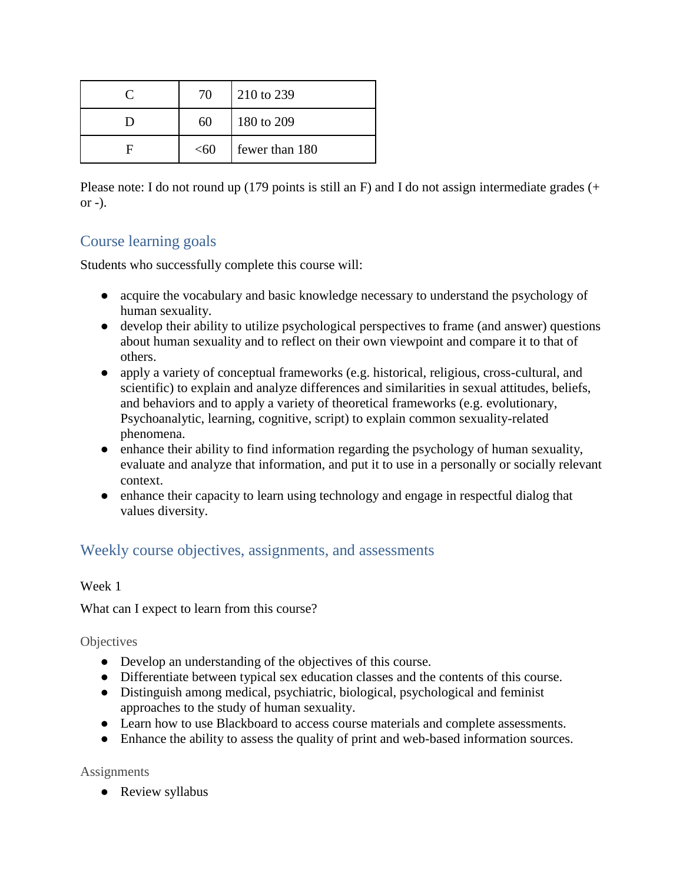| 70   | 210 to 239     |
|------|----------------|
| 60   | 180 to 209     |
| < 60 | fewer than 180 |

Please note: I do not round up (179 points is still an F) and I do not assign intermediate grades (+  $or -$ ).

# Course learning goals

Students who successfully complete this course will:

- acquire the vocabulary and basic knowledge necessary to understand the psychology of human sexuality.
- develop their ability to utilize psychological perspectives to frame (and answer) questions about human sexuality and to reflect on their own viewpoint and compare it to that of others.
- apply a variety of conceptual frameworks (e.g. historical, religious, cross-cultural, and scientific) to explain and analyze differences and similarities in sexual attitudes, beliefs, and behaviors and to apply a variety of theoretical frameworks (e.g. evolutionary, Psychoanalytic, learning, cognitive, script) to explain common sexuality-related phenomena.
- enhance their ability to find information regarding the psychology of human sexuality, evaluate and analyze that information, and put it to use in a personally or socially relevant context.
- enhance their capacity to learn using technology and engage in respectful dialog that values diversity.

# Weekly course objectives, assignments, and assessments

Week 1

What can I expect to learn from this course?

**Objectives** 

- Develop an understanding of the objectives of this course.
- Differentiate between typical sex education classes and the contents of this course.
- Distinguish among medical, psychiatric, biological, psychological and feminist approaches to the study of human sexuality.
- Learn how to use Blackboard to access course materials and complete assessments.
- Enhance the ability to assess the quality of print and web-based information sources.

Assignments

• Review syllabus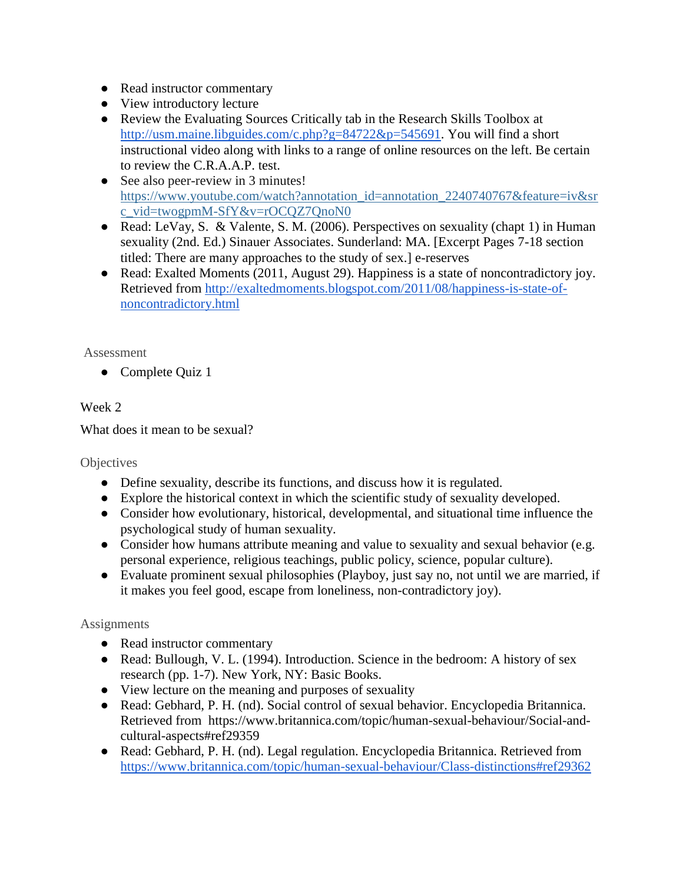- Read instructor commentary
- View introductory lecture
- Review the Evaluating Sources Critically tab in the Research Skills Toolbox a[t](http://usm.maine.libguides.com/c.php?g=84722&p=545691) [http://usm.maine.libguides.com/c.php?g=84722&p=545691.](http://usm.maine.libguides.com/c.php?g=84722&p=545691) You will find a short instructional video along with links to a range of online resources on the left. Be certain to review the C.R.A.A.P. test.
- See also peer-review in 3 minutes[!](https://www.youtube.com/watch?annotation_id=annotation_2240740767&feature=iv&src_vid=twogpmM-SfY&v=rOCQZ7QnoN0) [https://www.youtube.com/watch?annotation\\_id=annotation\\_2240740767&feature=iv&sr](https://www.youtube.com/watch?annotation_id=annotation_2240740767&feature=iv&src_vid=twogpmM-SfY&v=rOCQZ7QnoN0) [c\\_vid=twogpmM-SfY&v=rOCQZ7QnoN0](https://www.youtube.com/watch?annotation_id=annotation_2240740767&feature=iv&src_vid=twogpmM-SfY&v=rOCQZ7QnoN0)
- Read: LeVay, S. & Valente, S. M. (2006). Perspectives on sexuality (chapt 1) in Human sexuality (2nd. Ed.) Sinauer Associates. Sunderland: MA. [Excerpt Pages 7-18 section titled: There are many approaches to the study of sex.] e-reserves
- Read: Exalted Moments (2011, August 29)[.](http://exaltedmoments.blogspot.com/2011/08/happiness-is-state-of-noncontradictory.html) Happiness is a state of noncontradictory joy. [Retrieved from http://exaltedmoments.blogspot.com/2011/08/happiness-is-state-of](http://exaltedmoments.blogspot.com/2011/08/happiness-is-state-of-noncontradictory.html)[noncontradictory.html](http://exaltedmoments.blogspot.com/2011/08/happiness-is-state-of-noncontradictory.html)

• Complete Quiz 1

### Week 2

What does it mean to be sexual?

### **Objectives**

- Define sexuality, describe its functions, and discuss how it is regulated.
- Explore the historical context in which the scientific study of sexuality developed.
- Consider how evolutionary, historical, developmental, and situational time influence the psychological study of human sexuality.
- Consider how humans attribute meaning and value to sexuality and sexual behavior (e.g. personal experience, religious teachings, public policy, science, popular culture).
- Evaluate prominent sexual philosophies (Playboy, just say no, not until we are married, if it makes you feel good, escape from loneliness, non-contradictory joy).

- Read instructor commentary
- Read: Bullough, V. L. (1994). Introduction. Science in the bedroom: A history of sex research (pp. 1-7). New York, NY: Basic Books.
- View lecture on the meaning and purposes of sexuality
- Read: Gebhard, P. H. (nd). Social control of sexual behavior. Encyclopedia Britannica. Retrieved from[https://www.britannica.com/topic/human-sexual-behaviour/Social-and](https://www.britannica.com/topic/human-sexual-behaviour/Social-and-cultural-aspects#ref29359)[cultural-aspects#ref29359](https://www.britannica.com/topic/human-sexual-behaviour/Social-and-cultural-aspects#ref29359)
- Read: Gebhard, P. H. (nd). Legal regulation. Encyclopedia Britannica. Retrieved from <https://www.britannica.com/topic/human-sexual-behaviour/Class-distinctions#ref29362>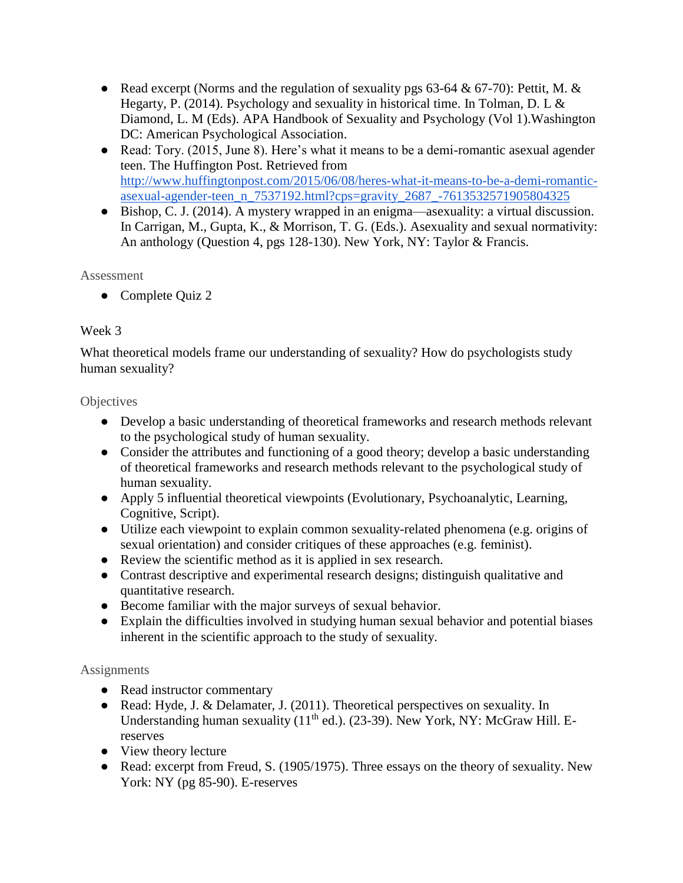- Read excerpt (Norms and the regulation of sexuality pgs 63-64  $& 67-70$ ): Pettit, M.  $& 80$ Hegarty, P. (2014). Psychology and sexuality in historical time. In Tolman, D. L & Diamond, L. M (Eds). APA Handbook of Sexuality and Psychology (Vol 1).Washington DC: American Psychological Association.
- Read: Tory. (2015, June 8). Here's what it means to be a demi-romantic asexual agender teen. The Huffington Post. [Retrieved from](http://www.huffingtonpost.com/2015/06/08/heres-what-it-means-to-be-a-demi-romantic-asexual-agender-teen_n_7537192.html?cps=gravity_2687_-7613532571905804325)  [http://www.huffingtonpost.com/2015/06/08/heres-what-it-means-to-be-a-demi-romantic](http://www.huffingtonpost.com/2015/06/08/heres-what-it-means-to-be-a-demi-romantic-asexual-agender-teen_n_7537192.html?cps=gravity_2687_-7613532571905804325)[asexual-agender-teen\\_n\\_7537192.html?cps=gravity\\_2687\\_-7613532571905804325](http://www.huffingtonpost.com/2015/06/08/heres-what-it-means-to-be-a-demi-romantic-asexual-agender-teen_n_7537192.html?cps=gravity_2687_-7613532571905804325)
- Bishop, C. J. (2014). A mystery wrapped in an enigma—asexuality: a virtual discussion. In Carrigan, M., Gupta, K., & Morrison, T. G. (Eds.). Asexuality and sexual normativity: An anthology (Question 4, pgs 128-130). New York, NY: Taylor & Francis.

● Complete Quiz 2

### Week 3

What theoretical models frame our understanding of sexuality? How do psychologists study human sexuality?

### **Objectives**

- Develop a basic understanding of theoretical frameworks and research methods relevant to the psychological study of human sexuality.
- Consider the attributes and functioning of a good theory; develop a basic understanding of theoretical frameworks and research methods relevant to the psychological study of human sexuality.
- Apply 5 influential theoretical viewpoints (Evolutionary, Psychoanalytic, Learning, Cognitive, Script).
- Utilize each viewpoint to explain common sexuality-related phenomena (e.g. origins of sexual orientation) and consider critiques of these approaches (e.g. feminist).
- Review the scientific method as it is applied in sex research.
- Contrast descriptive and experimental research designs; distinguish qualitative and quantitative research.
- Become familiar with the major surveys of sexual behavior.
- Explain the difficulties involved in studying human sexual behavior and potential biases inherent in the scientific approach to the study of sexuality.

- Read instructor commentary
- Read: Hyde, J. & Delamater, J. (2011). Theoretical perspectives on sexuality. In Understanding human sexuality  $(11<sup>th</sup>$  ed.). (23-39). New York, NY: McGraw Hill. Ereserves
- View theory lecture
- Read: excerpt from Freud, S. (1905/1975). Three essays on the theory of sexuality. New York: NY (pg 85-90). E-reserves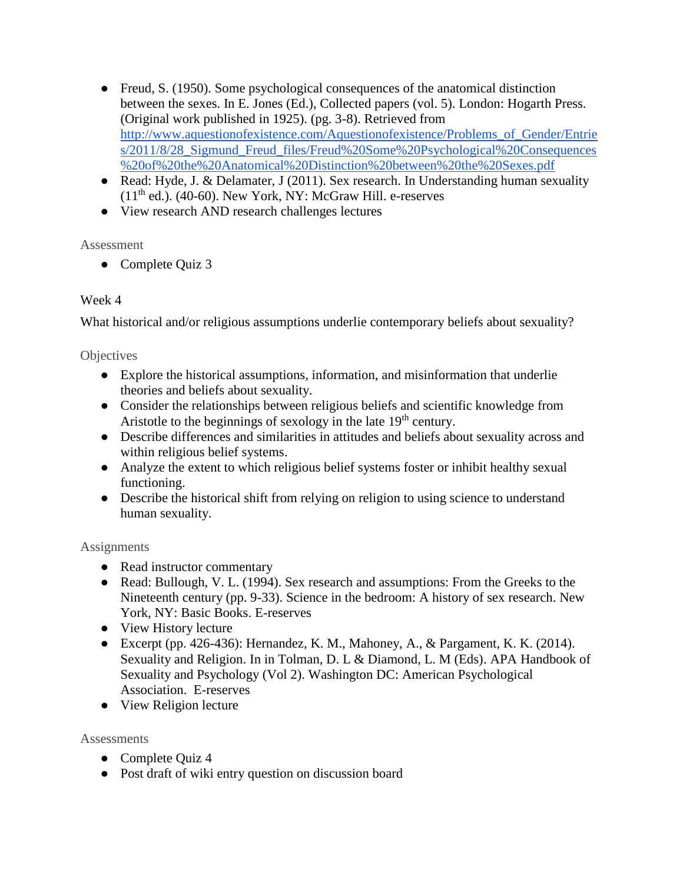- Freud, S. (1950). Some psychological consequences of the anatomical distinction between the sexes. In E. Jones (Ed.), Collected papers (vol. 5). London: Hogarth Press. (Original work published in 1925). (pg. 3-8). [Retrieved from](http://www.aquestionofexistence.com/Aquestionofexistence/Problems_of_Gender/Entries/2011/8/28_Sigmund_Freud_files/Freud%20Some%20Psychological%20Consequences%20of%20the%20Anatomical%20Distinction%20between%20the%20Sexes.pdf)  [http://www.aquestionofexistence.com/Aquestionofexistence/Problems\\_of\\_Gender/Entrie](http://www.aquestionofexistence.com/Aquestionofexistence/Problems_of_Gender/Entries/2011/8/28_Sigmund_Freud_files/Freud%20Some%20Psychological%20Consequences%20of%20the%20Anatomical%20Distinction%20between%20the%20Sexes.pdf) s/2011/8/28 Sigmund Freud files/Freud%20Some%20Psychological%20Consequences [%20of%20the%20Anatomical%20Distinction%20between%20the%20Sexes.pdf](http://www.aquestionofexistence.com/Aquestionofexistence/Problems_of_Gender/Entries/2011/8/28_Sigmund_Freud_files/Freud%20Some%20Psychological%20Consequences%20of%20the%20Anatomical%20Distinction%20between%20the%20Sexes.pdf)
- Read: Hyde, J. & Delamater, J (2011). Sex research. In Understanding human sexuality  $(11<sup>th</sup>$  ed.). (40-60). New York, NY: McGraw Hill. e-reserves
- View research AND research challenges lectures

• Complete Quiz 3

### Week 4

What historical and/or religious assumptions underlie contemporary beliefs about sexuality?

### **Objectives**

- Explore the historical assumptions, information, and misinformation that underlie theories and beliefs about sexuality.
- Consider the relationships between religious beliefs and scientific knowledge from Aristotle to the beginnings of sexology in the late  $19<sup>th</sup>$  century.
- Describe differences and similarities in attitudes and beliefs about sexuality across and within religious belief systems.
- Analyze the extent to which religious belief systems foster or inhibit healthy sexual functioning.
- Describe the historical shift from relying on religion to using science to understand human sexuality.

### **Assignments**

- Read instructor commentary
- Read: Bullough, V. L. (1994). Sex research and assumptions: From the Greeks to the Nineteenth century (pp. 9-33). Science in the bedroom: A history of sex research. New York, NY: Basic Books. E-reserves
- View History lecture
- Excerpt (pp. 426-436): Hernandez, K. M., Mahoney, A., & Pargament, K. K. (2014). Sexuality and Religion. In in Tolman, D. L & Diamond, L. M (Eds). APA Handbook of Sexuality and Psychology (Vol 2). Washington DC: American Psychological Association. E-reserves
- View Religion lecture

### **Assessments**

- Complete Quiz 4
- Post draft of wiki entry question on discussion board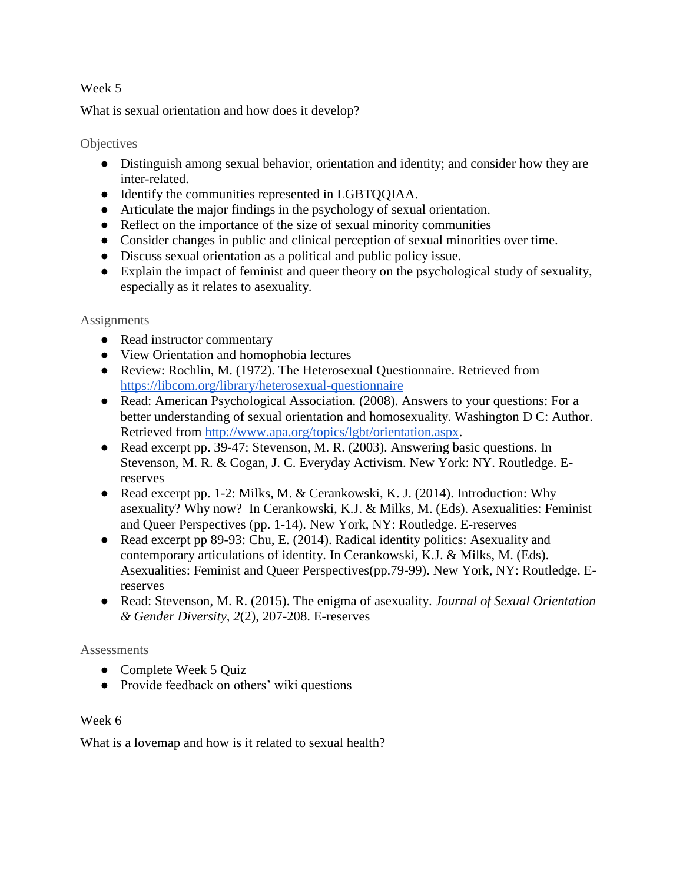### Week 5

What is sexual orientation and how does it develop?

### **Objectives**

- Distinguish among sexual behavior, orientation and identity; and consider how they are inter-related.
- Identify the communities represented in LGBTQQIAA.
- Articulate the major findings in the psychology of sexual orientation.
- Reflect on the importance of the size of sexual minority communities
- Consider changes in public and clinical perception of sexual minorities over time.
- Discuss sexual orientation as a political and public policy issue.
- Explain the impact of feminist and queer theory on the psychological study of sexuality, especially as it relates to asexuality.

### **Assignments**

- Read instructor commentary
- View Orientation and homophobia lectures
- Review: Rochlin, M. (1972). The Heterosexual Questionnaire. Retrieved fro[m](https://libcom.org/library/heterosexual-questionnaire) <https://libcom.org/library/heterosexual-questionnaire>
- Read: American Psychological Association. (2008). Answers to your questions: For a better understanding of sexual orientation and homosexuality. Washington D C: Author. Retrieved from [http://www.apa.org/topics/lgbt/orientation.aspx.](http://www.apa.org/topics/lgbt/orientation.aspx)
- Read excerpt pp. 39-47: Stevenson, M. R. (2003). Answering basic questions. In Stevenson, M. R. & Cogan, J. C. Everyday Activism. New York: NY. Routledge. Ereserves
- Read excerpt pp. 1-2: Milks, M. & Cerankowski, K. J. (2014). Introduction: Why asexuality? Why now? In Cerankowski, K.J. & Milks, M. (Eds). Asexualities: Feminist and Queer Perspectives (pp. 1-14). New York, NY: Routledge. E-reserves
- Read excerpt pp 89-93: Chu, E. (2014). Radical identity politics: Asexuality and contemporary articulations of identity. In Cerankowski, K.J. & Milks, M. (Eds). Asexualities: Feminist and Queer Perspectives(pp.79-99). New York, NY: Routledge. Ereserves
- Read: Stevenson, M. R. (2015). The enigma of asexuality. *Journal of Sexual Orientation & Gender Diversity, 2*(2), 207-208. E-reserves

#### **Assessments**

- Complete Week 5 Quiz
- Provide feedback on others' wiki questions

### Week 6

What is a lovemap and how is it related to sexual health?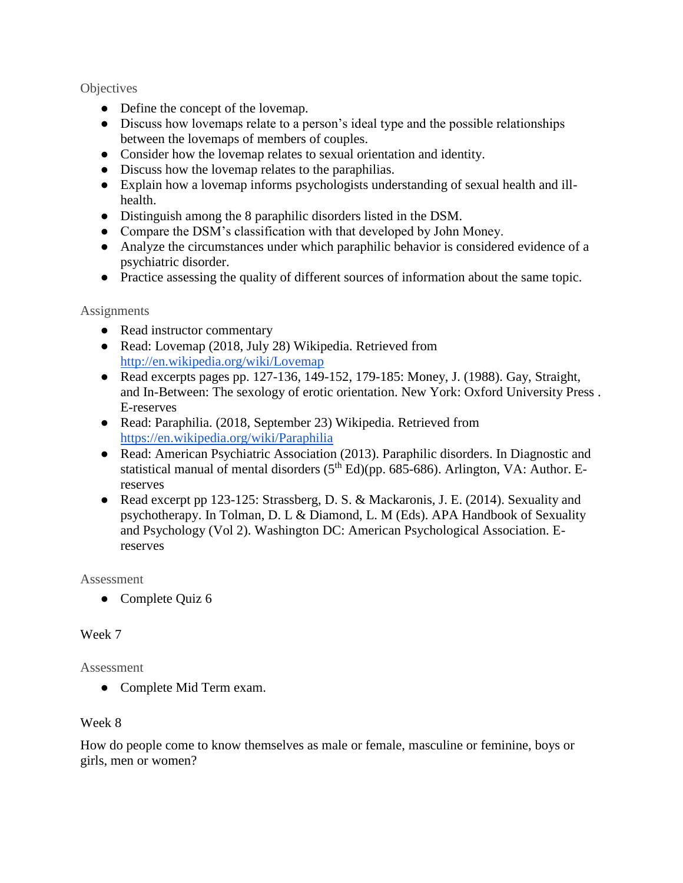#### **Objectives**

- Define the concept of the lovemap.
- Discuss how lovemaps relate to a person's ideal type and the possible relationships between the lovemaps of members of couples.
- Consider how the lovemap relates to sexual orientation and identity.
- Discuss how the lovemap relates to the paraphilias.
- Explain how a lovemap informs psychologists understanding of sexual health and illhealth.
- Distinguish among the 8 paraphilic disorders listed in the DSM.
- Compare the DSM's classification with that developed by John Money.
- Analyze the circumstances under which paraphilic behavior is considered evidence of a psychiatric disorder.
- Practice assessing the quality of different sources of information about the same topic.

### **Assignments**

- Read instructor commentary
- Read: Lovemap [\(2018, July 28\) Wikipedia. Retrieved from](http://en.wikipedia.org/wiki/Lovemap)  <http://en.wikipedia.org/wiki/Lovemap>
- Read excerpts pages pp. 127-136, 149-152, 179-185: Money, J. (1988). Gay, Straight, and In-Between: The sexology of erotic orientation. New York: Oxford University Press . E-reserves
- Read: Paraphilia. (2018, September 23) Wikipedia. Retrieved fro[m](https://en.wikipedia.org/wiki/Paraphilia) <https://en.wikipedia.org/wiki/Paraphilia>
- Read: American Psychiatric Association (2013). Paraphilic disorders. In Diagnostic and statistical manual of mental disorders  $(5<sup>th</sup> Ed)(pp. 685-686)$ . Arlington, VA: Author. Ereserves
- Read excerpt pp 123-125: Strassberg, D. S. & Mackaronis, J. E. (2014). Sexuality and psychotherapy. In Tolman, D. L & Diamond, L. M (Eds). APA Handbook of Sexuality and Psychology (Vol 2). Washington DC: American Psychological Association. Ereserves

Assessment

• Complete Quiz 6

### Week 7

Assessment

• Complete Mid Term exam.

### Week 8

How do people come to know themselves as male or female, masculine or feminine, boys or girls, men or women?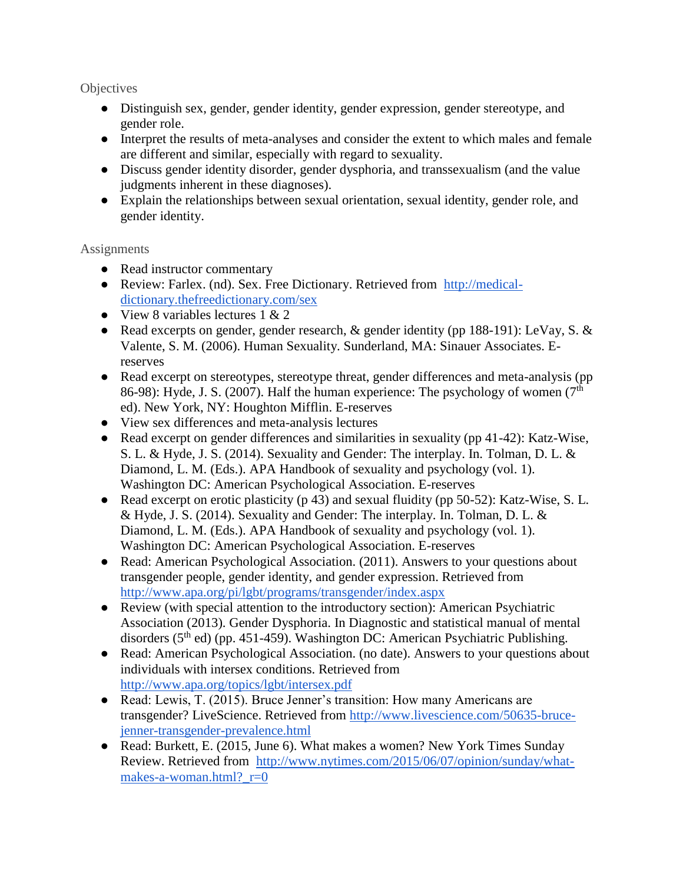**Objectives** 

- Distinguish sex, gender, gender identity, gender expression, gender stereotype, and gender role.
- Interpret the results of meta-analyses and consider the extent to which males and female are different and similar, especially with regard to sexuality.
- Discuss gender identity disorder, gender dysphoria, and transsexualism (and the value judgments inherent in these diagnoses).
- Explain the relationships between sexual orientation, sexual identity, gender role, and gender identity.

- Read instructor commentary
- Review: Farlex. (nd). Sex. Free Dictionary. Retrieved from [http://medical](http://medical-dictionary.thefreedictionary.com/sex)[dictionary.thefreedictionary.com/sex](http://medical-dictionary.thefreedictionary.com/sex)
- View 8 variables lectures  $1 \& 2$
- Read excerpts on gender, gender research, & gender identity (pp 188-191): LeVay, S. & Valente, S. M. (2006). Human Sexuality. Sunderland, MA: Sinauer Associates. Ereserves
- Read excerpt on stereotypes, stereotype threat, gender differences and meta-analysis (pp) 86-98): Hyde, J. S. (2007). Half the human experience: The psychology of women ( $7<sup>th</sup>$ ed). New York, NY: Houghton Mifflin. E-reserves
- View sex differences and meta-analysis lectures
- Read excerpt on gender differences and similarities in sexuality (pp 41-42): Katz-Wise, S. L. & Hyde, J. S. (2014). Sexuality and Gender: The interplay. In. Tolman, D. L. & Diamond, L. M. (Eds.). APA Handbook of sexuality and psychology (vol. 1). Washington DC: American Psychological Association. E-reserves
- Read excerpt on erotic plasticity (p 43) and sexual fluidity (pp 50-52): Katz-Wise, S. L. & Hyde, J. S. (2014). Sexuality and Gender: The interplay. In. Tolman, D. L. & Diamond, L. M. (Eds.). APA Handbook of sexuality and psychology (vol. 1). Washington DC: American Psychological Association. E-reserves
- Read: American Psychological Association. (2011). Answers to your questions about transgender people, gender identity, and gender expression. Retrieved fro[m](http://www.apa.org/pi/lgbt/programs/transgender/index.aspx) <http://www.apa.org/pi/lgbt/programs/transgender/index.aspx>
- Review (with special attention to the introductory section): American Psychiatric Association (2013). Gender Dysphoria. In Diagnostic and statistical manual of mental disorders (5<sup>th</sup> ed) (pp. 451-459). Washington DC: American Psychiatric Publishing.
- Read: American Psychological Association. (no date). Answers to your questions about individuals with intersex conditions. Retrieved from <http://www.apa.org/topics/lgbt/intersex.pdf>
- Read: Lewis, T. (2015). Bruce Jenner's transition: How many Americans are transgender? LiveScience. Retrieved fro[m](http://www.livescience.com/50635-bruce-jenner-transgender-prevalence.html) [http://www.livescience.com/50635-bruce](http://www.livescience.com/50635-bruce-jenner-transgender-prevalence.html)[jenner-transgender-prevalence.html](http://www.livescience.com/50635-bruce-jenner-transgender-prevalence.html)
- Read: Burkett, E. (2015, June 6). What makes a women? New York Times Sunday Review. Retrieved from [http://www.nytimes.com/2015/06/07/opinion/sunday/what](http://www.nytimes.com/2015/06/07/opinion/sunday/what-makes-a-woman.html?_r=0)makes-a-woman.html? $r=0$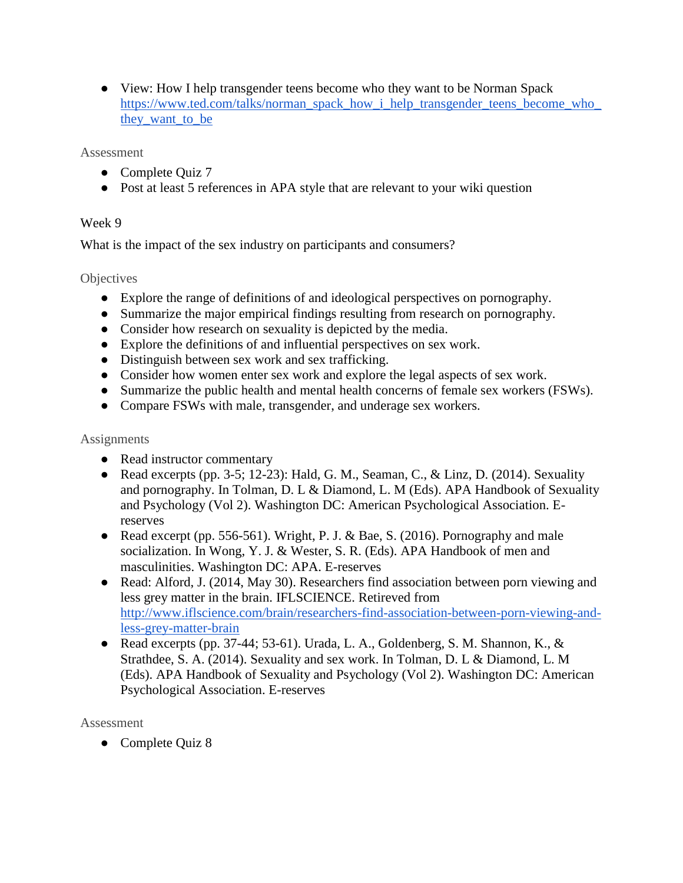• View: How I help transgender teens become who they want to be Norman Spac[k](https://www.ted.com/talks/norman_spack_how_i_help_transgender_teens_become_who_they_want_to_be) https://www.ted.com/talks/norman\_spack\_how\_i\_help\_transgender\_teens\_become\_who [they\\_want\\_to\\_be](https://www.ted.com/talks/norman_spack_how_i_help_transgender_teens_become_who_they_want_to_be)

### Assessment

- Complete Quiz 7
- Post at least 5 references in APA style that are relevant to your wiki question

### Week 9

What is the impact of the sex industry on participants and consumers?

### **Objectives**

- Explore the range of definitions of and ideological perspectives on pornography.
- Summarize the major empirical findings resulting from research on pornography.
- Consider how research on sexuality is depicted by the media.
- Explore the definitions of and influential perspectives on sex work.
- Distinguish between sex work and sex trafficking.
- Consider how women enter sex work and explore the legal aspects of sex work.
- Summarize the public health and mental health concerns of female sex workers (FSWs).
- Compare FSWs with male, transgender, and underage sex workers.

### **Assignments**

- Read instructor commentary
- Read excerpts (pp. 3-5; 12-23): Hald, G. M., Seaman, C., & Linz, D. (2014). Sexuality and pornography. In Tolman, D. L & Diamond, L. M (Eds). APA Handbook of Sexuality and Psychology (Vol 2). Washington DC: American Psychological Association. Ereserves
- Read excerpt (pp. 556-561). Wright, P. J. & Bae, S. (2016). Pornography and male socialization. In Wong, Y. J. & Wester, S. R. (Eds). APA Handbook of men and masculinities. Washington DC: APA. E-reserves
- Read: Alford, J. (2014, May 30). Researchers find association between porn viewing and less grey matter in the brain. IFLSCIENCE. [Retireved from](http://www.iflscience.com/brain/researchers-find-association-between-porn-viewing-and-less-grey-matter-brain)  [http://www.iflscience.com/brain/researchers-find-association-between-porn-viewing-and](http://www.iflscience.com/brain/researchers-find-association-between-porn-viewing-and-less-grey-matter-brain)[less-grey-matter-brain](http://www.iflscience.com/brain/researchers-find-association-between-porn-viewing-and-less-grey-matter-brain)
- Read excerpts (pp. 37-44; 53-61). Urada, L. A., Goldenberg, S. M. Shannon, K.,  $\&$ Strathdee, S. A. (2014). Sexuality and sex work. In Tolman, D. L & Diamond, L. M (Eds). APA Handbook of Sexuality and Psychology (Vol 2). Washington DC: American Psychological Association. E-reserves

Assessment

● Complete Quiz 8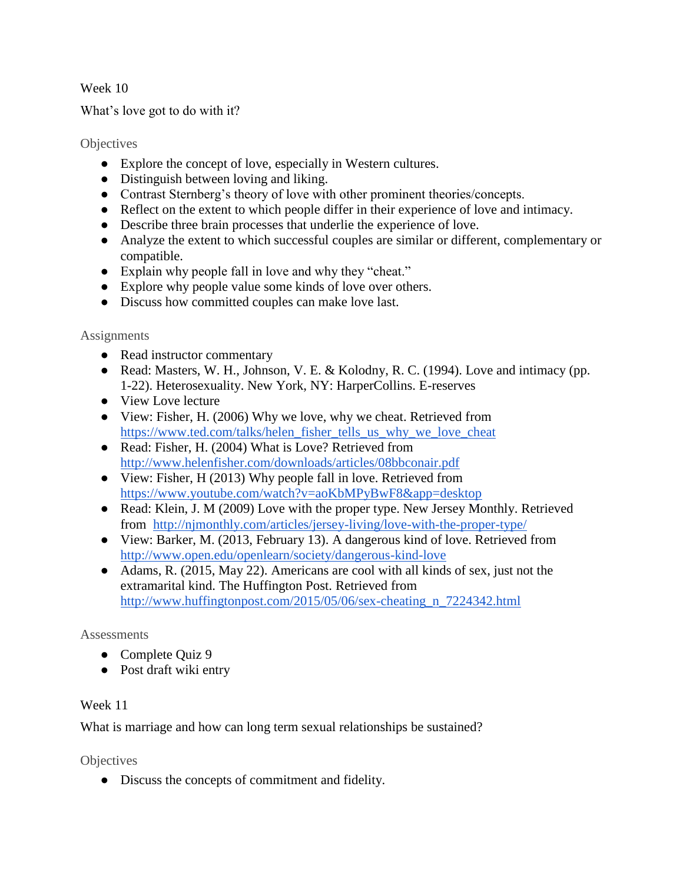### Week 10

What's love got to do with it?

### **Objectives**

- Explore the concept of love, especially in Western cultures.
- Distinguish between loving and liking.
- Contrast Sternberg's theory of love with other prominent theories/concepts.
- Reflect on the extent to which people differ in their experience of love and intimacy.
- Describe three brain processes that underlie the experience of love.
- Analyze the extent to which successful couples are similar or different, complementary or compatible.
- Explain why people fall in love and why they "cheat."
- Explore why people value some kinds of love over others.
- Discuss how committed couples can make love last.

### **Assignments**

- Read instructor commentary
- Read: Masters, W. H., Johnson, V. E. & Kolodny, R. C. (1994). Love and intimacy (pp. 1-22). Heterosexuality. New York, NY: HarperCollins. E-reserves
- View Love lecture
- View: Fisher, H. (2006) Why we love, why we cheat. Retrieved from [https://www.ted.com/talks/helen\\_fisher\\_tells\\_us\\_why\\_we\\_love\\_cheat](https://www.ted.com/talks/helen_fisher_tells_us_why_we_love_cheat)
- Read: Fisher, H. (2004) What is Love? [Retrieved from](http://www.helenfisher.com/downloads/articles/08bbconair.pdf)  <http://www.helenfisher.com/downloads/articles/08bbconair.pdf>
- View: Fisher, H (2013) Why people fall in love. Retrieved from <https://www.youtube.com/watch?v=aoKbMPyBwF8&app=desktop>
- Read: Klein, J. M (2009) Love with the proper type. New Jersey Monthly. Retrieved from <http://njmonthly.com/articles/jersey-living/love-with-the-proper-type/>
- View: Barker, M. (2013, February 13). A dangerous kind of love. Retrieved from <http://www.open.edu/openlearn/society/dangerous-kind-love>
- Adams, R. (2015, May 22). Americans are cool with all kinds of sex, just not the extramarital kind. The Huffington Post. [Retrieved from](http://www.huffingtonpost.com/2015/05/06/sex-cheating_n_7224342.html)  [http://www.huffingtonpost.com/2015/05/06/sex-cheating\\_n\\_7224342.html](http://www.huffingtonpost.com/2015/05/06/sex-cheating_n_7224342.html)

### **Assessments**

- Complete Quiz 9
- Post draft wiki entry

### Week 11

What is marriage and how can long term sexual relationships be sustained?

**Objectives** 

● Discuss the concepts of commitment and fidelity.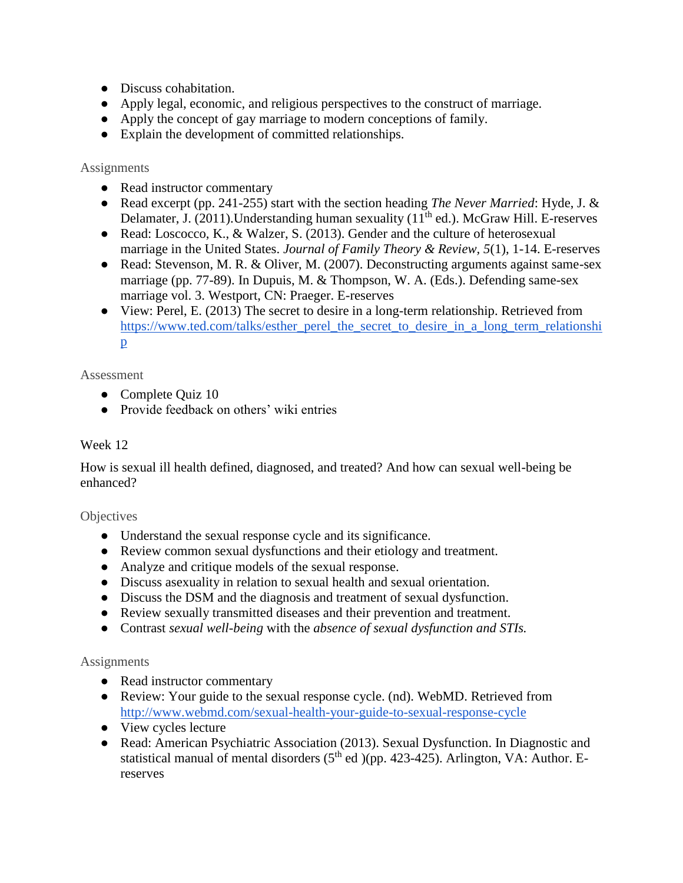- Discuss cohabitation.
- Apply legal, economic, and religious perspectives to the construct of marriage.
- Apply the concept of gay marriage to modern conceptions of family.
- Explain the development of committed relationships.

#### **Assignments**

- Read instructor commentary
- Read excerpt (pp. 241-255) start with the section heading *The Never Married*: Hyde, J. & Delamater, J. (2011). Understanding human sexuality ( $11<sup>th</sup>$  ed.). McGraw Hill. E-reserves
- Read: Loscocco, K., & Walzer, S. (2013). Gender and the culture of heterosexual marriage in the United States. *Journal of Family Theory & Review, 5*(1), 1-14. E-reserves
- Read: Stevenson, M. R. & Oliver, M. (2007). Deconstructing arguments against same-sex marriage (pp. 77-89). In Dupuis, M. & Thompson, W. A. (Eds.). Defending same-sex marriage vol. 3. Westport, CN: Praeger. E-reserves
- View: Perel, E. (2013) The secret to desire in a long-term relationship. Retrieved fro[m](https://www.ted.com/talks/esther_perel_the_secret_to_desire_in_a_long_term_relationship) [https://www.ted.com/talks/esther\\_perel\\_the\\_secret\\_to\\_desire\\_in\\_a\\_long\\_term\\_relationshi](https://www.ted.com/talks/esther_perel_the_secret_to_desire_in_a_long_term_relationship) [p](https://www.ted.com/talks/esther_perel_the_secret_to_desire_in_a_long_term_relationship)

### Assessment

- Complete Ouiz 10
- Provide feedback on others' wiki entries

### Week 12

How is sexual ill health defined, diagnosed, and treated? And how can sexual well-being be enhanced?

#### **Objectives**

- Understand the sexual response cycle and its significance.
- Review common sexual dysfunctions and their etiology and treatment.
- Analyze and critique models of the sexual response.
- Discuss asexuality in relation to sexual health and sexual orientation.
- Discuss the DSM and the diagnosis and treatment of sexual dysfunction.
- Review sexually transmitted diseases and their prevention and treatment.
- Contrast *sexual well-being* with the *absence of sexual dysfunction and STIs.*

- Read instructor commentary
- Review: Your guide to the sexual response cycle. (nd). WebMD. Retrieved fro[m](http://www.webmd.com/sexual-health-your-guide-to-sexual-response-cycle) <http://www.webmd.com/sexual-health-your-guide-to-sexual-response-cycle>
- View cycles lecture
- Read: American Psychiatric Association (2013). Sexual Dysfunction. In Diagnostic and statistical manual of mental disorders  $(5<sup>th</sup>$  ed  $)(pp. 423-425)$ . Arlington, VA: Author. Ereserves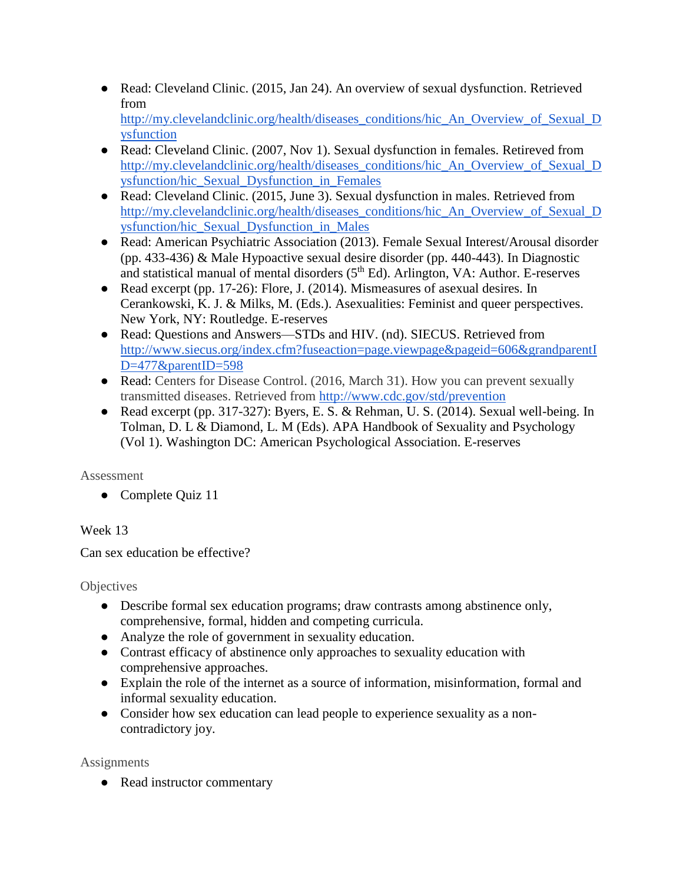- Read: Cleveland Clinic. (2015, Jan 24). An overview of sexual dysfunction. Retrieved fro[m](http://my.clevelandclinic.org/health/diseases_conditions/hic_An_Overview_of_Sexual_Dysfunction) [http://my.clevelandclinic.org/health/diseases\\_conditions/hic\\_An\\_Overview\\_of\\_Sexual\\_D](http://my.clevelandclinic.org/health/diseases_conditions/hic_An_Overview_of_Sexual_Dysfunction) [ysfunction](http://my.clevelandclinic.org/health/diseases_conditions/hic_An_Overview_of_Sexual_Dysfunction)
- Read: Cleveland Clinic. (2007, Nov 1). Sexual dysfunction in females. [Retireved from](http://my.clevelandclinic.org/health/diseases_conditions/hic_An_Overview_of_Sexual_Dysfunction/hic_Sexual_Dysfunction_in_Females)  [http://my.clevelandclinic.org/health/diseases\\_conditions/hic\\_An\\_Overview\\_of\\_Sexual\\_D](http://my.clevelandclinic.org/health/diseases_conditions/hic_An_Overview_of_Sexual_Dysfunction/hic_Sexual_Dysfunction_in_Females) [ysfunction/hic\\_Sexual\\_Dysfunction\\_in\\_Females](http://my.clevelandclinic.org/health/diseases_conditions/hic_An_Overview_of_Sexual_Dysfunction/hic_Sexual_Dysfunction_in_Females)
- Read: Cleveland Clinic. (2015, June 3). Sexual dysfunction in males. [Retrieved from](http://my.clevelandclinic.org/health/diseases_conditions/hic_An_Overview_of_Sexual_Dysfunction/hic_Sexual_Dysfunction_in_Males)  [http://my.clevelandclinic.org/health/diseases\\_conditions/hic\\_An\\_Overview\\_of\\_Sexual\\_D](http://my.clevelandclinic.org/health/diseases_conditions/hic_An_Overview_of_Sexual_Dysfunction/hic_Sexual_Dysfunction_in_Males) [ysfunction/hic\\_Sexual\\_Dysfunction\\_in\\_Males](http://my.clevelandclinic.org/health/diseases_conditions/hic_An_Overview_of_Sexual_Dysfunction/hic_Sexual_Dysfunction_in_Males)
- Read: American Psychiatric Association (2013). Female Sexual Interest/Arousal disorder (pp. 433-436) & Male Hypoactive sexual desire disorder (pp. 440-443). In Diagnostic and statistical manual of mental disorders  $(5<sup>th</sup> Ed)$ . Arlington, VA: Author. E-reserves
- Read excerpt (pp. 17-26): Flore, J. (2014). Mismeasures of asexual desires. In Cerankowski, K. J. & Milks, M. (Eds.). Asexualities: Feminist and queer perspectives. New York, NY: Routledge. E-reserves
- •Read: Questions and Answers—STDs and HIV. (nd). SIECUS. Retrieved from [http://www.siecus.org/index.cfm?fuseaction=page.viewpage&pageid=606&grandparentI](http://www.siecus.org/index.cfm?fuseaction=page.viewpage&pageid=606&grandparentID=477&parentID=598) [D=477&parentID=598](http://www.siecus.org/index.cfm?fuseaction=page.viewpage&pageid=606&grandparentID=477&parentID=598)
- Read: Centers for Disease Control. (2016, March 31). How you can prevent sexually transmitted diseases. Retrieved from<http://www.cdc.gov/std/prevention>
- Read excerpt (pp. 317-327): Byers, E. S. & Rehman, U. S. (2014). Sexual well-being. In Tolman, D. L & Diamond, L. M (Eds). APA Handbook of Sexuality and Psychology (Vol 1). Washington DC: American Psychological Association. E-reserves

• Complete Quiz 11

# Week 13

Can sex education be effective?

**Objectives** 

- Describe formal sex education programs; draw contrasts among abstinence only, comprehensive, formal, hidden and competing curricula.
- Analyze the role of government in sexuality education.
- Contrast efficacy of abstinence only approaches to sexuality education with comprehensive approaches.
- Explain the role of the internet as a source of information, misinformation, formal and informal sexuality education.
- Consider how sex education can lead people to experience sexuality as a noncontradictory joy.

**Assignments** 

• Read instructor commentary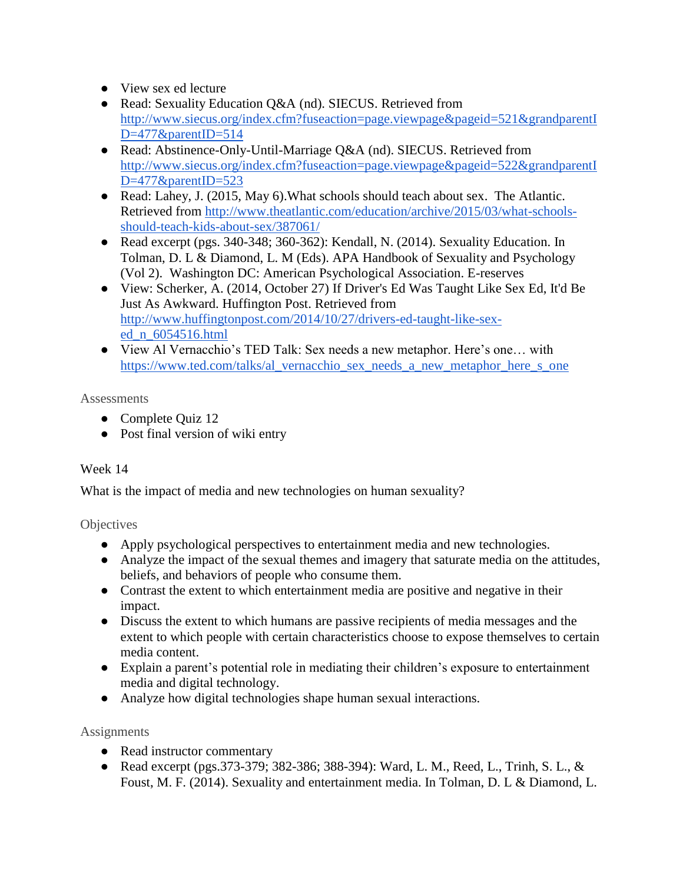- View sex ed lecture
- Read: Sexuality Education Q&A (nd). SIECUS. Retrieved from [http://www.siecus.org/index.cfm?fuseaction=page.viewpage&pageid=521&grandparentI](http://www.siecus.org/index.cfm?fuseaction=page.viewpage&pageid=521&grandparentID=477&parentID=514) [D=477&parentID=514](http://www.siecus.org/index.cfm?fuseaction=page.viewpage&pageid=521&grandparentID=477&parentID=514)
- Read: Abstinence-Only-Until-Marriage Q&A (nd). SIECUS. Retrieved from [http://www.siecus.org/index.cfm?fuseaction=page.viewpage&pageid=522&grandparentI](http://www.siecus.org/index.cfm?fuseaction=page.viewpage&pageid=522&grandparentID=477&parentID=523) [D=477&parentID=523](http://www.siecus.org/index.cfm?fuseaction=page.viewpage&pageid=522&grandparentID=477&parentID=523)
- Read: Lahey, J[.](http://www.theatlantic.com/education/archive/2015/03/what-schools-should-teach-kids-about-sex/387061/) (2015, May 6). What schools should teach about sex. The Atlantic. [Retrieved from http://www.theatlantic.com/education/archive/2015/03/what-schools](http://www.theatlantic.com/education/archive/2015/03/what-schools-should-teach-kids-about-sex/387061/)[should-teach-kids-about-sex/387061/](http://www.theatlantic.com/education/archive/2015/03/what-schools-should-teach-kids-about-sex/387061/)
- Read excerpt (pgs. 340-348; 360-362): Kendall, N. (2014). Sexuality Education. In Tolman, D. L & Diamond, L. M (Eds). APA Handbook of Sexuality and Psychology (Vol 2). Washington DC: American Psychological Association. E-reserves
- View: Scherker, A. (2014, October 27) If Driver's Ed Was Taught Like Sex Ed, It'd Be Just As Awkward. Huffington Post. [Retrieved from](http://www.huffingtonpost.com/2014/10/27/drivers-ed-taught-like-sex-ed_n_6054516.html)  [http://www.huffingtonpost.com/2014/10/27/drivers-ed-taught-like-sex](http://www.huffingtonpost.com/2014/10/27/drivers-ed-taught-like-sex-ed_n_6054516.html)[ed\\_n\\_6054516.html](http://www.huffingtonpost.com/2014/10/27/drivers-ed-taught-like-sex-ed_n_6054516.html)
- View Al Vernacchio's TED Talk: Sex needs a new metaphor. Here's one… wit[h](https://www.ted.com/talks/al_vernacchio_sex_needs_a_new_metaphor_here_s_one) [https://www.ted.com/talks/al\\_vernacchio\\_sex\\_needs\\_a\\_new\\_metaphor\\_here\\_s\\_one](https://www.ted.com/talks/al_vernacchio_sex_needs_a_new_metaphor_here_s_one)

- Complete Quiz 12
- Post final version of wiki entry

# Week 14

What is the impact of media and new technologies on human sexuality?

# **Objectives**

- Apply psychological perspectives to entertainment media and new technologies.
- Analyze the impact of the sexual themes and imagery that saturate media on the attitudes, beliefs, and behaviors of people who consume them.
- Contrast the extent to which entertainment media are positive and negative in their impact.
- Discuss the extent to which humans are passive recipients of media messages and the extent to which people with certain characteristics choose to expose themselves to certain media content.
- Explain a parent's potential role in mediating their children's exposure to entertainment media and digital technology.
- Analyze how digital technologies shape human sexual interactions.

- Read instructor commentary
- Read excerpt (pgs.373-379; 382-386; 388-394): Ward, L. M., Reed, L., Trinh, S. L., & Foust, M. F. (2014). Sexuality and entertainment media. In Tolman, D. L & Diamond, L.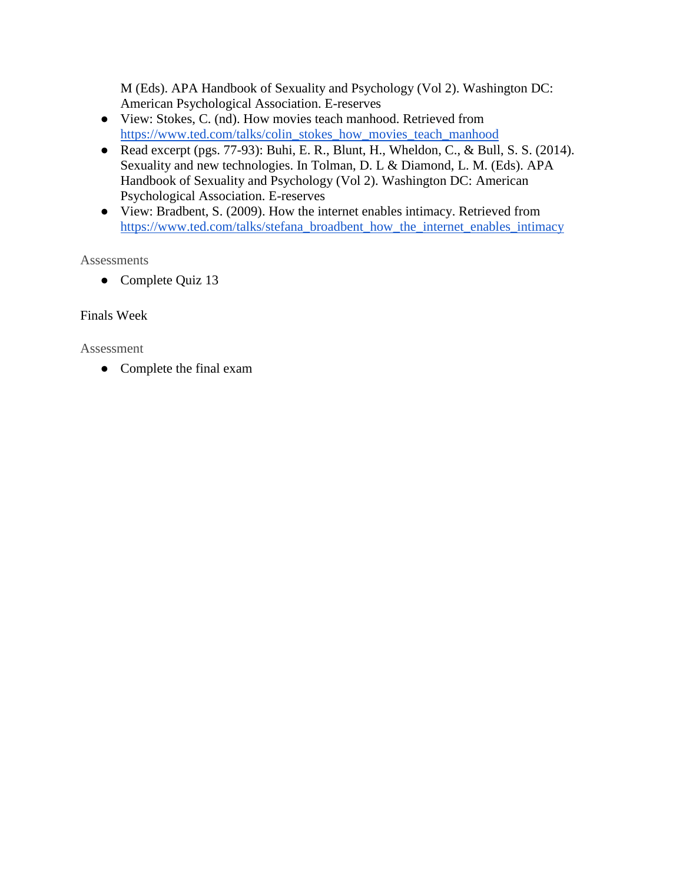M (Eds). APA Handbook of Sexuality and Psychology (Vol 2). Washington DC: American Psychological Association. E-reserves

- View: Stokes, C. (nd). How movies teach manhood. Retrieved from [https://www.ted.com/talks/colin\\_stokes\\_how\\_movies\\_teach\\_manhood](https://www.ted.com/talks/colin_stokes_how_movies_teach_manhood)
- Read excerpt (pgs. 77-93): Buhi, E. R., Blunt, H., Wheldon, C., & Bull, S. S. (2014). Sexuality and new technologies. In Tolman, D. L & Diamond, L. M. (Eds). APA Handbook of Sexuality and Psychology (Vol 2). Washington DC: American Psychological Association. E-reserves
- View: Bradbent, S. (2009). How the internet enables intimacy. Retrieved fro[m](https://www.ted.com/talks/stefana_broadbent_how_the_internet_enables_intimacy) [https://www.ted.com/talks/stefana\\_broadbent\\_how\\_the\\_internet\\_enables\\_intimacy](https://www.ted.com/talks/stefana_broadbent_how_the_internet_enables_intimacy)

**Assessments** 

• Complete Quiz 13

### Finals Week

### Assessment

• Complete the final exam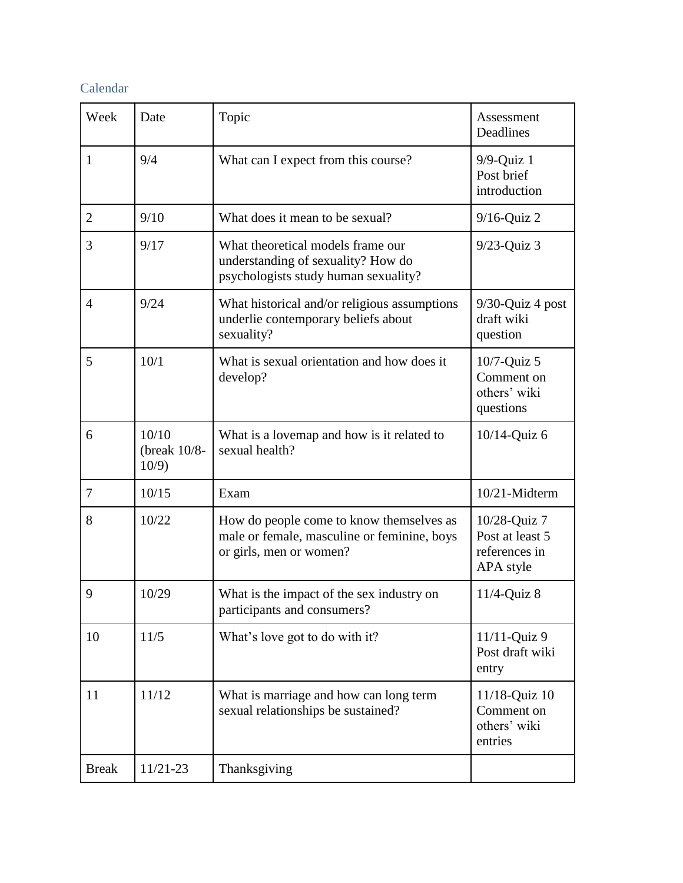# Calendar

| Week           | Date                                 | Topic                                                                                                              | Assessment<br>Deadlines                                       |
|----------------|--------------------------------------|--------------------------------------------------------------------------------------------------------------------|---------------------------------------------------------------|
| $\mathbf{1}$   | 9/4                                  | What can I expect from this course?                                                                                | $9/9$ -Quiz 1<br>Post brief<br>introduction                   |
| $\overline{2}$ | 9/10                                 | What does it mean to be sexual?                                                                                    | $9/16$ -Quiz 2                                                |
| 3              | 9/17                                 | What theoretical models frame our<br>understanding of sexuality? How do<br>psychologists study human sexuality?    | $9/23$ -Quiz 3                                                |
| $\overline{4}$ | 9/24                                 | What historical and/or religious assumptions<br>underlie contemporary beliefs about<br>sexuality?                  | 9/30-Quiz 4 post<br>draft wiki<br>question                    |
| 5              | 10/1                                 | What is sexual orientation and how does it<br>develop?                                                             | $10/7$ -Quiz 5<br>Comment on<br>others' wiki<br>questions     |
| 6              | 10/10<br>(break $10/8$ -<br>$10/9$ ) | What is a lovemap and how is it related to<br>sexual health?                                                       | 10/14-Quiz 6                                                  |
| 7              | 10/15                                | Exam                                                                                                               | 10/21-Midterm                                                 |
| 8              | 10/22                                | How do people come to know themselves as<br>male or female, masculine or feminine, boys<br>or girls, men or women? | 10/28-Quiz 7<br>Post at least 5<br>references in<br>APA style |
| 9              | 10/29                                | What is the impact of the sex industry on<br>participants and consumers?                                           | $11/4$ -Quiz 8                                                |
| 10             | 11/5                                 | What's love got to do with it?                                                                                     | 11/11-Quiz 9<br>Post draft wiki<br>entry                      |
| 11             | 11/12                                | What is marriage and how can long term<br>sexual relationships be sustained?                                       | 11/18-Quiz 10<br>Comment on<br>others' wiki<br>entries        |
| <b>Break</b>   | $11/21-23$                           | Thanksgiving                                                                                                       |                                                               |